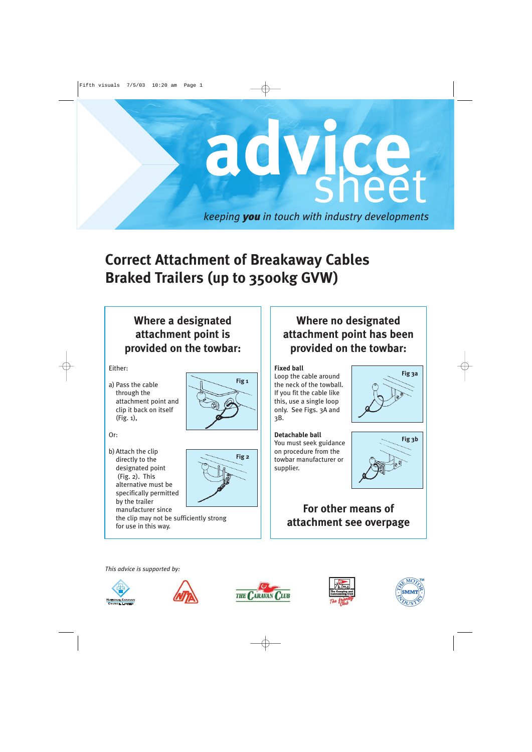

# **Correct Attachment of Breakaway Cables Braked Trailers (up to 3500kg GVW)**

## **Where a designated attachment point is provided on the towbar:**

Either:

a) Pass the cable through the attachment point and clip it back on itself (Fig. 1),



#### Or:

b) Attach the clip directly to the designated point (Fig. 2). This alternative must be specifically permitted by the trailer manufacturer since



the clip may not be sufficiently strong for use in this way.

## **Where no designated attachment point has been provided on the towbar:**

#### **Fixed ball**

Loop the cable around the neck of the towball. If you fit the cable like this, use a single loop only. See Figs. 3A and 3B.

**Detachable ball** You must seek guidance on procedure from the towbar manufacturer or supplier.



**Fig 3a**

## **For other means of attachment see overpage**

*This advice is supported by:*